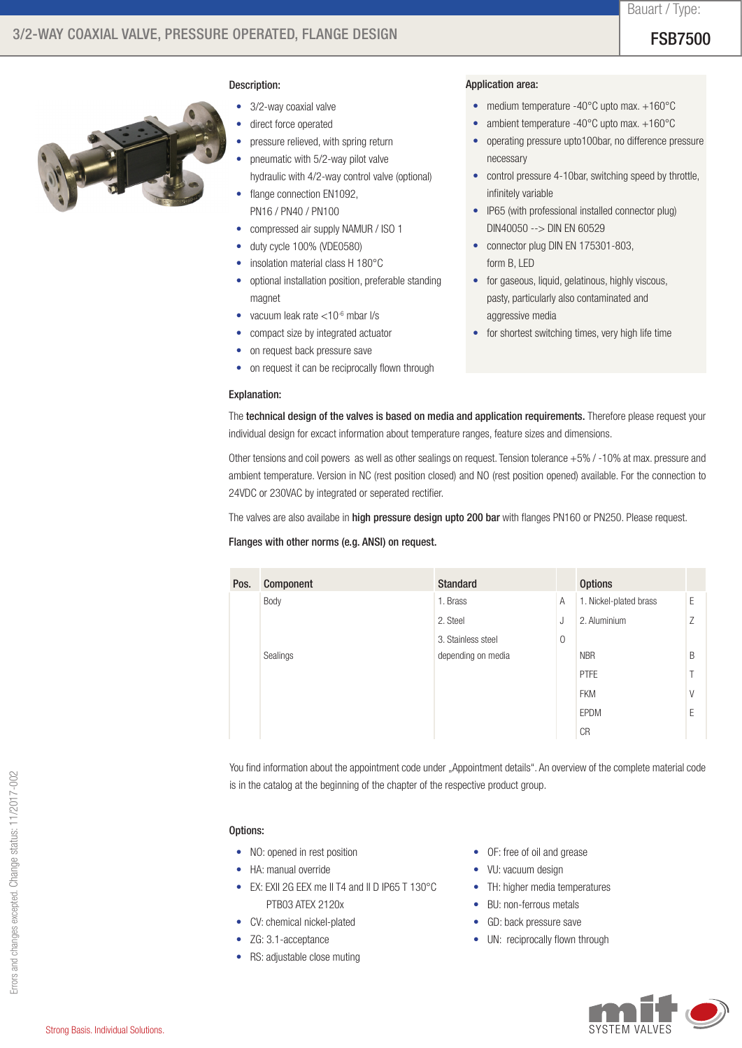## Description:

- 3/2-way coaxial valve
- direct force operated
- pressure relieved, with spring return
- pneumatic with 5/2-way pilot valve
- hydraulic with 4/2-way control valve (optional)
- flange connection EN1092, PN16 / PN40 / PN100
- compressed air supply NAMUR / ISO 1
- duty cycle 100% (VDE0580)
- insolation material class H 180°C
- optional installation position, preferable standing magnet
- vacuum leak rate  $<$ 10 $<sup>6</sup>$  mbar l/s</sup>
- • compact size by integrated actuator
- on request back pressure save
- on request it can be reciprocally flown through

## Application area:

- medium temperature -40°C upto max. +160°C
- ambient temperature -40°C upto max. +160°C
- • operating pressure upto100bar, no difference pressure necessary
- control pressure 4-10bar, switching speed by throttle, infinitely variable
- IP65 (with professional installed connector plug) DIN40050 --> DIN EN 60529
- connector plug DIN EN 175301-803, form B, LED
- for gaseous, liquid, gelatinous, highly viscous, pasty, particularly also contaminated and aggressive media
- for shortest switching times, very high life time

### Explanation:

The technical design of the valves is based on media and application requirements. Therefore please request your individual design for excact information about temperature ranges, feature sizes and dimensions.

Other tensions and coil powers as well as other sealings on request. Tension tolerance +5% / -10% at max. pressure and ambient temperature. Version in NC (rest position closed) and NO (rest position opened) available. For the connection to 24VDC or 230VAC by integrated or seperated rectifier.

The valves are also availabe in high pressure design upto 200 bar with flanges PN160 or PN250. Please request.

## Flanges with other norms (e.g. ANSI) on request.

| Pos. | Component | <b>Standard</b>    |              | <b>Options</b>         |   |
|------|-----------|--------------------|--------------|------------------------|---|
|      | Body      | 1. Brass           | A            | 1. Nickel-plated brass | Е |
|      |           | 2. Steel           | J            | 2. Aluminium           | 7 |
|      |           | 3. Stainless steel | $\mathbf{0}$ |                        |   |
|      | Sealings  | depending on media |              | <b>NBR</b>             | B |
|      |           |                    |              | <b>PTFE</b>            |   |
|      |           |                    |              | <b>FKM</b>             | V |
|      |           |                    |              | EPDM                   | F |
|      |           |                    |              | <b>CR</b>              |   |

You find information about the appointment code under "Appointment details". An overview of the complete material code is in the catalog at the beginning of the chapter of the respective product group.

## Options:

- NO: opened in rest position
- HA: manual override
- EX: EXII 2G EEX me II T4 and II D IP65 T 130°C PTB03 ATEX 2120x
- CV: chemical nickel-plated
- ZG: 3.1-acceptance
- RS: adjustable close muting
- OF: free of oil and grease
- VU: vacuum design
- TH: higher media temperatures
- BU: non-ferrous metals
- GD: back pressure save
- UN: reciprocally flown through